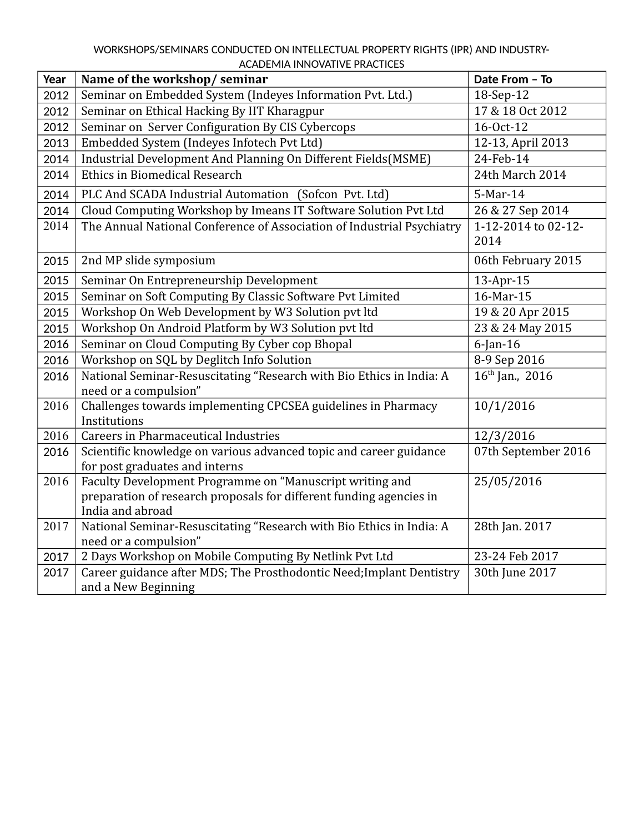## WORKSHOPS/SEMINARS CONDUCTED ON INTELLECTUAL PROPERTY RIGHTS (IPR) AND INDUSTRY-ACADEMIA INNOVATIVE PRACTICES

| Year | Name of the workshop/seminar                                                                         | Date From - To      |
|------|------------------------------------------------------------------------------------------------------|---------------------|
| 2012 | Seminar on Embedded System (Indeyes Information Pvt. Ltd.)                                           | 18-Sep-12           |
| 2012 | Seminar on Ethical Hacking By IIT Kharagpur                                                          | 17 & 18 Oct 2012    |
| 2012 | Seminar on Server Configuration By CIS Cybercops                                                     | 16-0ct-12           |
| 2013 | Embedded System (Indeyes Infotech Pvt Ltd)                                                           | 12-13, April 2013   |
| 2014 | Industrial Development And Planning On Different Fields(MSME)                                        | 24-Feb-14           |
| 2014 | <b>Ethics in Biomedical Research</b>                                                                 | 24th March 2014     |
| 2014 | PLC And SCADA Industrial Automation (Sofcon Pvt. Ltd)                                                | 5-Mar-14            |
| 2014 | Cloud Computing Workshop by Imeans IT Software Solution Pvt Ltd                                      | 26 & 27 Sep 2014    |
| 2014 | The Annual National Conference of Association of Industrial Psychiatry                               | 1-12-2014 to 02-12- |
|      |                                                                                                      | 2014                |
| 2015 | 2nd MP slide symposium                                                                               | 06th February 2015  |
| 2015 | Seminar On Entrepreneurship Development                                                              | 13-Apr-15           |
| 2015 | Seminar on Soft Computing By Classic Software Pvt Limited                                            | 16-Mar-15           |
| 2015 | Workshop On Web Development by W3 Solution pvt ltd                                                   | 19 & 20 Apr 2015    |
| 2015 | Workshop On Android Platform by W3 Solution pvt ltd                                                  | 23 & 24 May 2015    |
| 2016 | Seminar on Cloud Computing By Cyber cop Bhopal                                                       | $6$ -Jan-16         |
| 2016 | Workshop on SQL by Deglitch Info Solution                                                            | 8-9 Sep 2016        |
| 2016 | National Seminar-Resuscitating "Research with Bio Ethics in India: A                                 | $16th$ Jan., 2016   |
|      | need or a compulsion"                                                                                |                     |
| 2016 | Challenges towards implementing CPCSEA guidelines in Pharmacy                                        | 10/1/2016           |
|      | Institutions                                                                                         |                     |
| 2016 | <b>Careers in Pharmaceutical Industries</b>                                                          | 12/3/2016           |
| 2016 | Scientific knowledge on various advanced topic and career guidance<br>for post graduates and interns | 07th September 2016 |
| 2016 | Faculty Development Programme on "Manuscript writing and                                             | 25/05/2016          |
|      | preparation of research proposals for different funding agencies in                                  |                     |
|      | India and abroad                                                                                     |                     |
| 2017 | National Seminar-Resuscitating "Research with Bio Ethics in India: A                                 | 28th Jan. 2017      |
|      | need or a compulsion"                                                                                |                     |
| 2017 | 2 Days Workshop on Mobile Computing By Netlink Pvt Ltd                                               | 23-24 Feb 2017      |
| 2017 | Career guidance after MDS; The Prosthodontic Need; Implant Dentistry                                 | 30th June 2017      |
|      | and a New Beginning                                                                                  |                     |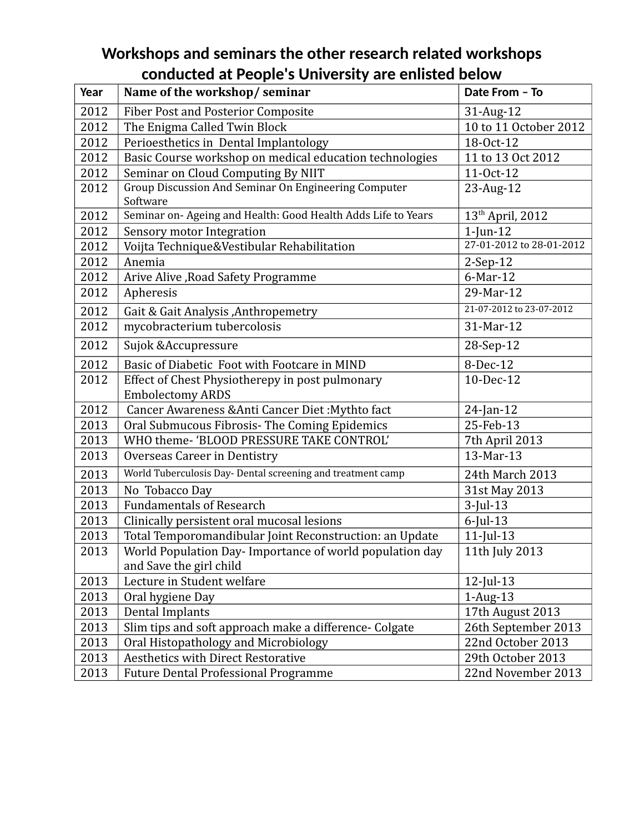## **Workshops and seminars the other research related workshops conducted at People's University are enlisted below**

| Year | Name of the workshop/seminar                                               | Date From - To               |
|------|----------------------------------------------------------------------------|------------------------------|
| 2012 | <b>Fiber Post and Posterior Composite</b>                                  | 31-Aug-12                    |
| 2012 | The Enigma Called Twin Block                                               | 10 to 11 October 2012        |
| 2012 | Perioesthetics in Dental Implantology                                      | 18-Oct-12                    |
| 2012 | Basic Course workshop on medical education technologies                    | 11 to 13 Oct 2012            |
| 2012 | Seminar on Cloud Computing By NIIT                                         | 11-Oct-12                    |
| 2012 | Group Discussion And Seminar On Engineering Computer<br>Software           | 23-Aug-12                    |
| 2012 | Seminar on- Ageing and Health: Good Health Adds Life to Years              | 13 <sup>th</sup> April, 2012 |
| 2012 | Sensory motor Integration                                                  | $1$ -Jun- $12$               |
| 2012 | Voijta Technique&Vestibular Rehabilitation                                 | 27-01-2012 to 28-01-2012     |
| 2012 | Anemia                                                                     | $2-Sep-12$                   |
| 2012 | Arive Alive , Road Safety Programme                                        | 6-Mar-12                     |
| 2012 | Apheresis                                                                  | 29-Mar-12                    |
| 2012 | Gait & Gait Analysis , Anthropemetry                                       | 21-07-2012 to 23-07-2012     |
| 2012 | mycobracterium tubercolosis                                                | 31-Mar-12                    |
| 2012 | Sujok & Accupressure                                                       | 28-Sep-12                    |
| 2012 | Basic of Diabetic Foot with Footcare in MIND                               | 8-Dec-12                     |
| 2012 | Effect of Chest Physiotherepy in post pulmonary<br><b>Embolectomy ARDS</b> | 10-Dec-12                    |
| 2012 | Cancer Awareness & Anti Cancer Diet: Mythto fact                           | $24$ -Jan-12                 |
| 2013 | Oral Submucous Fibrosis- The Coming Epidemics                              | 25-Feb-13                    |
| 2013 | WHO theme-'BLOOD PRESSURE TAKE CONTROL'                                    | 7th April 2013               |
| 2013 | Overseas Career in Dentistry                                               | 13-Mar-13                    |
| 2013 | World Tuberculosis Day- Dental screening and treatment camp                | 24th March 2013              |
| 2013 | No Tobacco Day                                                             | 31st May 2013                |
| 2013 | <b>Fundamentals of Research</b>                                            | $3$ -Jul-13                  |
| 2013 | Clinically persistent oral mucosal lesions                                 | $6$ -Jul-13                  |
| 2013 | Total Temporomandibular Joint Reconstruction: an Update                    | $11$ -Jul- $13$              |
| 2013 | World Population Day- Importance of world population day                   | 11th July 2013               |
|      | and Save the girl child                                                    |                              |
| 2013 | Lecture in Student welfare                                                 | $12$ -Jul-13                 |
| 2013 | Oral hygiene Day                                                           | $1$ -Aug- $13$               |
| 2013 | Dental Implants                                                            | 17th August 2013             |
| 2013 | Slim tips and soft approach make a difference- Colgate                     | 26th September 2013          |
| 2013 | Oral Histopathology and Microbiology                                       | 22nd October 2013            |
| 2013 | <b>Aesthetics with Direct Restorative</b>                                  | 29th October 2013            |
| 2013 | <b>Future Dental Professional Programme</b>                                | 22nd November 2013           |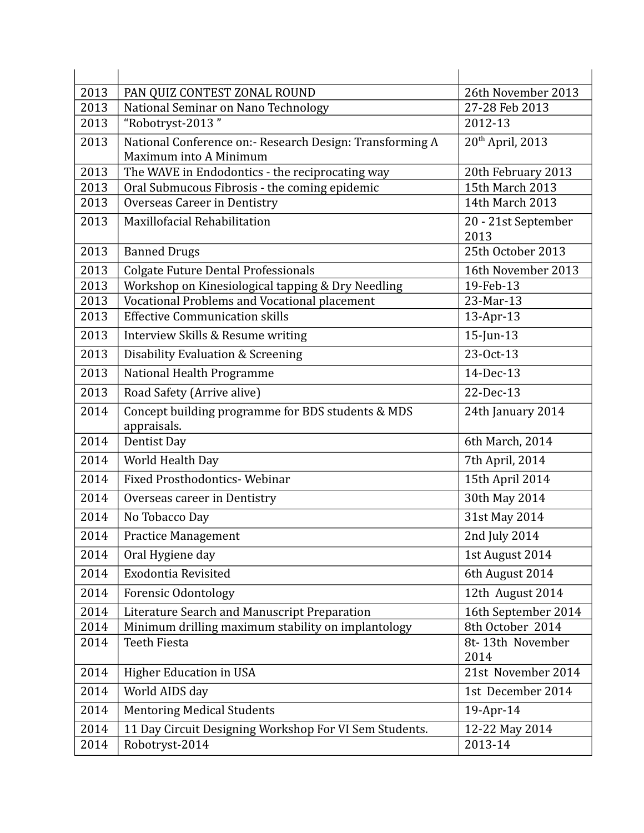| 2013 | PAN QUIZ CONTEST ZONAL ROUND                                                       | 26th November 2013           |
|------|------------------------------------------------------------------------------------|------------------------------|
| 2013 | National Seminar on Nano Technology                                                | 27-28 Feb 2013               |
| 2013 | "Robotryst-2013"                                                                   | 2012-13                      |
| 2013 | National Conference on:- Research Design: Transforming A<br>Maximum into A Minimum | 20 <sup>th</sup> April, 2013 |
| 2013 | The WAVE in Endodontics - the reciprocating way                                    | 20th February 2013           |
| 2013 | Oral Submucous Fibrosis - the coming epidemic                                      | 15th March 2013              |
| 2013 | Overseas Career in Dentistry                                                       | 14th March 2013              |
| 2013 | Maxillofacial Rehabilitation                                                       | 20 - 21st September<br>2013  |
| 2013 | <b>Banned Drugs</b>                                                                | 25th October 2013            |
| 2013 | <b>Colgate Future Dental Professionals</b>                                         | 16th November 2013           |
| 2013 | Workshop on Kinesiological tapping & Dry Needling                                  | 19-Feb-13                    |
| 2013 | Vocational Problems and Vocational placement                                       | 23-Mar-13                    |
| 2013 | <b>Effective Communication skills</b>                                              | 13-Apr-13                    |
| 2013 | Interview Skills & Resume writing                                                  | $15$ -Jun-13                 |
| 2013 | Disability Evaluation & Screening                                                  | 23-Oct-13                    |
| 2013 | National Health Programme                                                          | 14-Dec-13                    |
| 2013 | Road Safety (Arrive alive)                                                         | 22-Dec-13                    |
| 2014 | Concept building programme for BDS students & MDS<br>appraisals.                   | 24th January 2014            |
| 2014 | Dentist Day                                                                        | 6th March, 2014              |
| 2014 | World Health Day                                                                   | 7th April, 2014              |
| 2014 | <b>Fixed Prosthodontics- Webinar</b>                                               | 15th April 2014              |
| 2014 | Overseas career in Dentistry                                                       | 30th May 2014                |
| 2014 | No Tobacco Day                                                                     | 31st May 2014                |
| 2014 | <b>Practice Management</b>                                                         | 2nd July 2014                |
| 2014 | Oral Hygiene day                                                                   | 1st August 2014              |
| 2014 | <b>Exodontia Revisited</b>                                                         | 6th August 2014              |
| 2014 | Forensic Odontology                                                                | 12th August 2014             |
| 2014 | Literature Search and Manuscript Preparation                                       | 16th September 2014          |
| 2014 | Minimum drilling maximum stability on implantology                                 | 8th October 2014             |
| 2014 | Teeth Fiesta                                                                       | 8t-13th November<br>2014     |
| 2014 | <b>Higher Education in USA</b>                                                     | 21st November 2014           |
| 2014 | World AIDS day                                                                     | 1st December 2014            |
| 2014 | <b>Mentoring Medical Students</b>                                                  | 19-Apr-14                    |
| 2014 | 11 Day Circuit Designing Workshop For VI Sem Students.                             | 12-22 May 2014               |
| 2014 | Robotryst-2014                                                                     | 2013-14                      |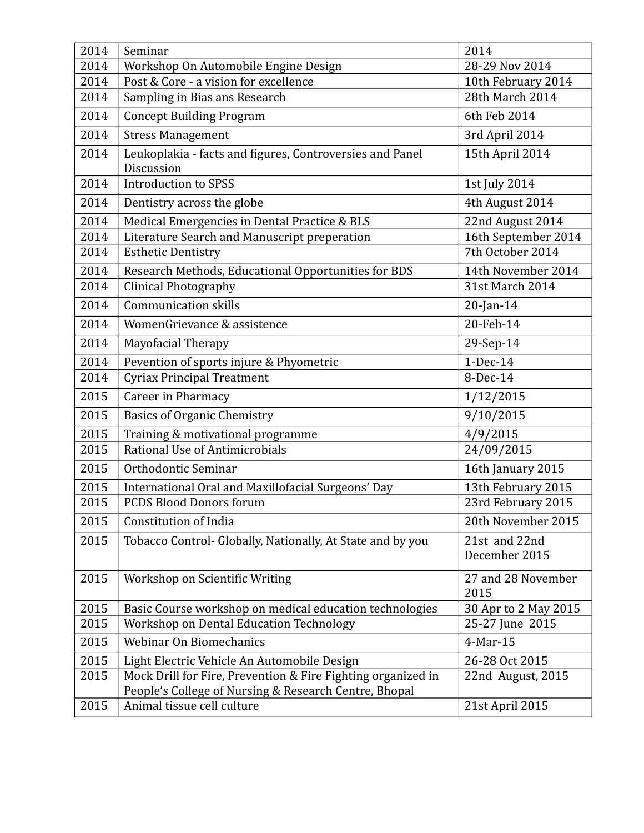| 2014 | Seminar                                                                                                               | 2014                       |
|------|-----------------------------------------------------------------------------------------------------------------------|----------------------------|
| 2014 | Workshop On Automobile Engine Design                                                                                  | 28-29 Nov 2014             |
| 2014 | Post & Core - a vision for excellence                                                                                 | 10th February 2014         |
| 2014 | Sampling in Bias ans Research                                                                                         | 28th March 2014            |
| 2014 | <b>Concept Building Program</b>                                                                                       | 6th Feb 2014               |
| 2014 | <b>Stress Management</b>                                                                                              | 3rd April 2014             |
| 2014 | Leukoplakia - facts and figures, Controversies and Panel<br>Discussion                                                | 15th April 2014            |
| 2014 | <b>Introduction to SPSS</b>                                                                                           | 1st July 2014              |
| 2014 | Dentistry across the globe                                                                                            | 4th August 2014            |
| 2014 | Medical Emergencies in Dental Practice & BLS                                                                          | 22nd August 2014           |
| 2014 | Literature Search and Manuscript preperation                                                                          | 16th September 2014        |
| 2014 | <b>Esthetic Dentistry</b>                                                                                             | 7th October 2014           |
| 2014 | Research Methods, Educational Opportunities for BDS                                                                   | 14th November 2014         |
| 2014 | <b>Clinical Photography</b>                                                                                           | 31st March 2014            |
| 2014 | <b>Communication skills</b>                                                                                           | $20$ -Jan-14               |
| 2014 | WomenGrievance & assistence                                                                                           | 20-Feb-14                  |
| 2014 | Mayofacial Therapy                                                                                                    | 29-Sep-14                  |
| 2014 | Pevention of sports injure & Phyometric                                                                               | 1-Dec-14                   |
| 2014 | <b>Cyriax Principal Treatment</b>                                                                                     | 8-Dec-14                   |
| 2015 | Career in Pharmacy                                                                                                    | 1/12/2015                  |
| 2015 | <b>Basics of Organic Chemistry</b>                                                                                    | 9/10/2015                  |
| 2015 | Training & motivational programme                                                                                     | 4/9/2015                   |
| 2015 | Rational Use of Antimicrobials                                                                                        | 24/09/2015                 |
| 2015 | Orthodontic Seminar                                                                                                   | 16th January 2015          |
| 2015 | International Oral and Maxillofacial Surgeons' Day                                                                    | 13th February 2015         |
| 2015 | <b>PCDS Blood Donors forum</b>                                                                                        | 23rd February 2015         |
| 2015 | <b>Constitution of India</b>                                                                                          | 20th November 2015         |
| 2015 | Tobacco Control- Globally, Nationally, At State and by you                                                            | 21st and 22nd              |
|      |                                                                                                                       | December 2015              |
| 2015 | Workshop on Scientific Writing                                                                                        | 27 and 28 November<br>2015 |
| 2015 | Basic Course workshop on medical education technologies                                                               | 30 Apr to 2 May 2015       |
| 2015 | Workshop on Dental Education Technology                                                                               | 25-27 June 2015            |
| 2015 | Webinar On Biomechanics                                                                                               | 4-Mar-15                   |
| 2015 | Light Electric Vehicle An Automobile Design                                                                           | 26-28 Oct 2015             |
| 2015 | Mock Drill for Fire, Prevention & Fire Fighting organized in<br>People's College of Nursing & Research Centre, Bhopal | 22nd August, 2015          |
| 2015 | Animal tissue cell culture                                                                                            | 21st April 2015            |
|      |                                                                                                                       |                            |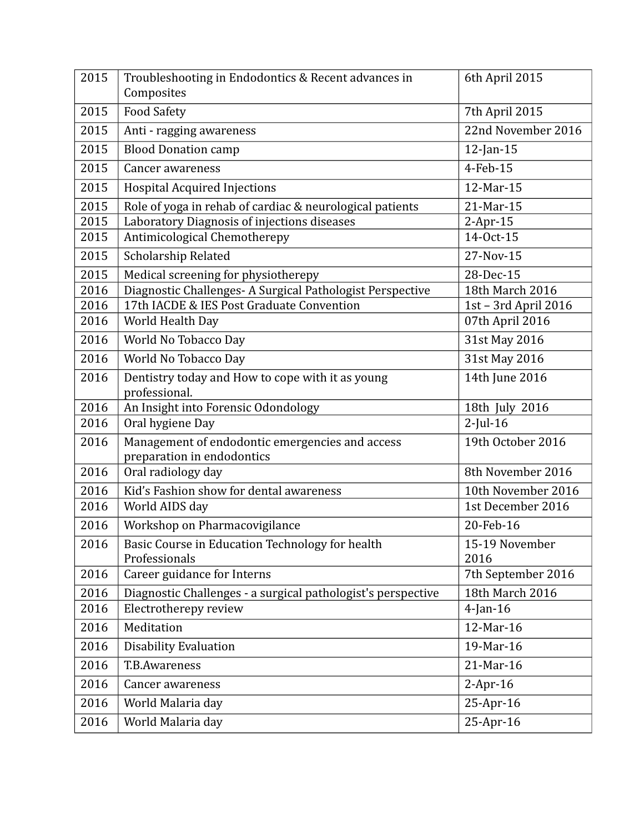| 2015 | Troubleshooting in Endodontics & Recent advances in<br>Composites             | 6th April 2015         |
|------|-------------------------------------------------------------------------------|------------------------|
| 2015 | <b>Food Safety</b>                                                            | 7th April 2015         |
| 2015 | Anti - ragging awareness                                                      | 22nd November 2016     |
| 2015 | <b>Blood Donation camp</b>                                                    | $12$ -Jan- $15$        |
| 2015 | Cancer awareness                                                              | 4-Feb-15               |
| 2015 | <b>Hospital Acquired Injections</b>                                           | 12-Mar-15              |
| 2015 | Role of yoga in rehab of cardiac & neurological patients                      | 21-Mar-15              |
| 2015 | Laboratory Diagnosis of injections diseases                                   | $2-Apr-15$             |
| 2015 | Antimicological Chemotherepy                                                  | 14-Oct-15              |
| 2015 | Scholarship Related                                                           | 27-Nov-15              |
| 2015 | Medical screening for physiotherepy                                           | 28-Dec-15              |
| 2016 | Diagnostic Challenges- A Surgical Pathologist Perspective                     | 18th March 2016        |
| 2016 | 17th IACDE & IES Post Graduate Convention                                     | 1st - 3rd April 2016   |
| 2016 | World Health Day                                                              | 07th April 2016        |
| 2016 | World No Tobacco Day                                                          | 31st May 2016          |
| 2016 | World No Tobacco Day                                                          | 31st May 2016          |
| 2016 | Dentistry today and How to cope with it as young<br>professional.             | 14th June 2016         |
| 2016 | An Insight into Forensic Odondology                                           | 18th July 2016         |
| 2016 | Oral hygiene Day                                                              | $2$ -Jul-16            |
| 2016 | Management of endodontic emergencies and access<br>preparation in endodontics | 19th October 2016      |
| 2016 | Oral radiology day                                                            | 8th November 2016      |
| 2016 | Kid's Fashion show for dental awareness                                       | 10th November 2016     |
| 2016 | World AIDS day                                                                | 1st December 2016      |
| 2016 | Workshop on Pharmacovigilance                                                 | 20-Feb-16              |
| 2016 | Basic Course in Education Technology for health<br>Professionals              | 15-19 November<br>2016 |
| 2016 | Career guidance for Interns                                                   | 7th September 2016     |
| 2016 | Diagnostic Challenges - a surgical pathologist's perspective                  | 18th March 2016        |
| 2016 | Electrotherepy review                                                         | $4$ -Jan-16            |
| 2016 | Meditation                                                                    | 12-Mar-16              |
| 2016 | <b>Disability Evaluation</b>                                                  | 19-Mar-16              |
| 2016 | <b>T.B.Awareness</b>                                                          | 21-Mar-16              |
| 2016 | Cancer awareness                                                              | $2-Apr-16$             |
| 2016 | World Malaria day                                                             | 25-Apr-16              |
| 2016 | World Malaria day                                                             | 25-Apr-16              |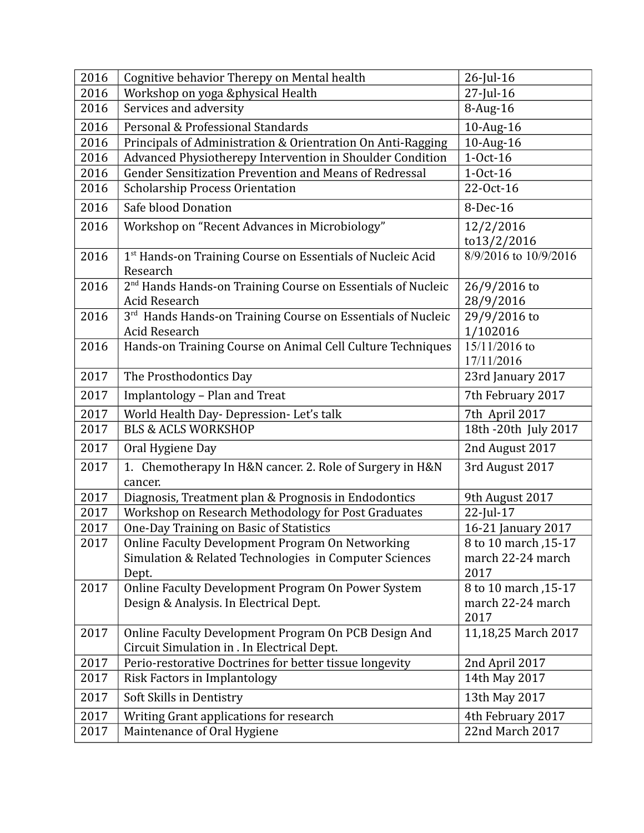| 2016 | Cognitive behavior Therepy on Mental health                                                                         | 26-Jul-16                                         |
|------|---------------------------------------------------------------------------------------------------------------------|---------------------------------------------------|
| 2016 | Workshop on yoga &physical Health                                                                                   | $27$ -Jul-16                                      |
| 2016 | Services and adversity                                                                                              | 8-Aug-16                                          |
| 2016 | Personal & Professional Standards                                                                                   | 10-Aug-16                                         |
| 2016 | Principals of Administration & Orientration On Anti-Ragging                                                         | 10-Aug-16                                         |
| 2016 | Advanced Physiotherepy Intervention in Shoulder Condition                                                           | $1-0ct-16$                                        |
| 2016 | Gender Sensitization Prevention and Means of Redressal                                                              | $1-0ct-16$                                        |
| 2016 | <b>Scholarship Process Orientation</b>                                                                              | 22-Oct-16                                         |
| 2016 | Safe blood Donation                                                                                                 | 8-Dec-16                                          |
| 2016 | Workshop on "Recent Advances in Microbiology"                                                                       | 12/2/2016<br>to13/2/2016                          |
| 2016 | 1 <sup>st</sup> Hands-on Training Course on Essentials of Nucleic Acid<br>Research                                  | 8/9/2016 to 10/9/2016                             |
| 2016 | 2 <sup>nd</sup> Hands Hands-on Training Course on Essentials of Nucleic                                             | 26/9/2016 to                                      |
|      | Acid Research                                                                                                       | 28/9/2016                                         |
| 2016 | 3rd Hands Hands-on Training Course on Essentials of Nucleic                                                         | 29/9/2016 to                                      |
|      | Acid Research                                                                                                       | 1/102016<br>15/11/2016 to                         |
| 2016 | Hands-on Training Course on Animal Cell Culture Techniques                                                          | 17/11/2016                                        |
| 2017 | The Prosthodontics Day                                                                                              | 23rd January 2017                                 |
| 2017 | Implantology - Plan and Treat                                                                                       | 7th February 2017                                 |
| 2017 | World Health Day- Depression- Let's talk                                                                            | 7th April 2017                                    |
| 2017 | <b>BLS &amp; ACLS WORKSHOP</b>                                                                                      | 18th -20th July 2017                              |
| 2017 | Oral Hygiene Day                                                                                                    | 2nd August 2017                                   |
| 2017 | 1. Chemotherapy In H&N cancer. 2. Role of Surgery in H&N<br>cancer.                                                 | 3rd August 2017                                   |
|      |                                                                                                                     |                                                   |
| 2017 | Diagnosis, Treatment plan & Prognosis in Endodontics                                                                | 9th August 2017                                   |
| 2017 | Workshop on Research Methodology for Post Graduates                                                                 | 22-Jul-17                                         |
| 2017 | One-Day Training on Basic of Statistics                                                                             | 16-21 January 2017                                |
| 2017 | Online Faculty Development Program On Networking<br>Simulation & Related Technologies in Computer Sciences<br>Dept. | 8 to 10 march, 15-17<br>march 22-24 march<br>2017 |
| 2017 | Online Faculty Development Program On Power System<br>Design & Analysis. In Electrical Dept.                        | 8 to 10 march, 15-17<br>march 22-24 march<br>2017 |
| 2017 | Online Faculty Development Program On PCB Design And<br>Circuit Simulation in . In Electrical Dept.                 | 11,18,25 March 2017                               |
| 2017 | Perio-restorative Doctrines for better tissue longevity                                                             | 2nd April 2017                                    |
| 2017 | Risk Factors in Implantology                                                                                        | 14th May 2017                                     |
| 2017 | Soft Skills in Dentistry                                                                                            | 13th May 2017                                     |
| 2017 | Writing Grant applications for research<br>Maintenance of Oral Hygiene                                              | 4th February 2017<br>22nd March 2017              |